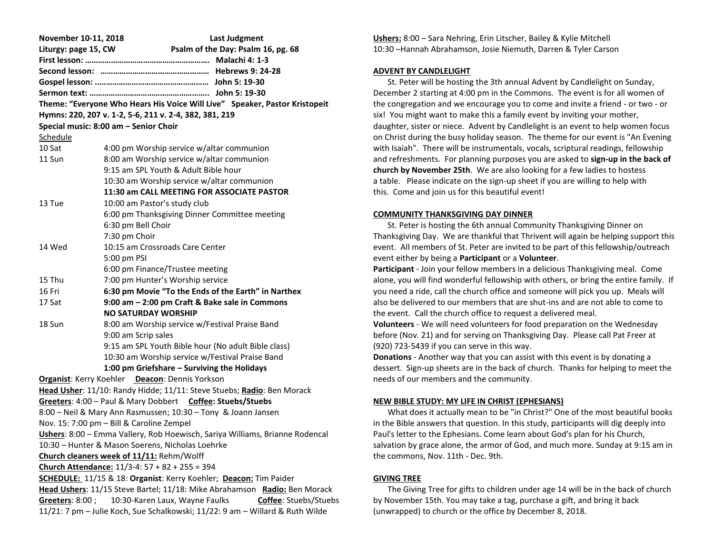| November 10-11, 2018                                                       | <b>Last Judgment</b>                                                          |
|----------------------------------------------------------------------------|-------------------------------------------------------------------------------|
| Liturgy: page 15, CW                                                       | Psalm of the Day: Psalm 16, pg. 68                                            |
|                                                                            |                                                                               |
|                                                                            |                                                                               |
|                                                                            |                                                                               |
|                                                                            |                                                                               |
| Theme: "Everyone Who Hears His Voice Will Live" Speaker, Pastor Kristopeit |                                                                               |
| Hymns: 220, 207 v. 1-2, 5-6, 211 v. 2-4, 382, 381, 219                     |                                                                               |
|                                                                            | Special music: 8:00 am - Senior Choir                                         |
| Schedule                                                                   |                                                                               |
| 10 Sat                                                                     | 4:00 pm Worship service w/altar communion                                     |
| 11 Sun                                                                     | 8:00 am Worship service w/altar communion                                     |
|                                                                            | 9:15 am SPL Youth & Adult Bible hour                                          |
|                                                                            | 10:30 am Worship service w/altar communion                                    |
|                                                                            | 11:30 am CALL MEETING FOR ASSOCIATE PASTOR                                    |
| 13 Tue                                                                     | 10:00 am Pastor's study club                                                  |
|                                                                            | 6:00 pm Thanksgiving Dinner Committee meeting                                 |
|                                                                            | 6:30 pm Bell Choir                                                            |
|                                                                            | 7:30 pm Choir                                                                 |
| 14 Wed                                                                     | 10:15 am Crossroads Care Center                                               |
|                                                                            | 5:00 pm PSI                                                                   |
|                                                                            | 6:00 pm Finance/Trustee meeting                                               |
| 15 Thu                                                                     | 7:00 pm Hunter's Worship service                                              |
| 16 Fri                                                                     | 6:30 pm Movie "To the Ends of the Earth" in Narthex                           |
| 17 Sat                                                                     | 9:00 am - 2:00 pm Craft & Bake sale in Commons                                |
|                                                                            | <b>NO SATURDAY WORSHIP</b>                                                    |
| 18 Sun                                                                     | 8:00 am Worship service w/Festival Praise Band                                |
|                                                                            | 9:00 am Scrip sales                                                           |
|                                                                            | 9:15 am SPL Youth Bible hour (No adult Bible class)                           |
|                                                                            | 10:30 am Worship service w/Festival Praise Band                               |
|                                                                            | 1:00 pm Griefshare - Surviving the Holidays                                   |
| Organist: Kerry Koehler Deacon: Dennis Yorkson                             |                                                                               |
|                                                                            | Head Usher: 11/10: Randy Hidde; 11/11: Steve Stuebs; Radio: Ben Morack        |
|                                                                            | Greeters: 4:00 - Paul & Mary Dobbert Coffee: Stuebs/Stuebs                    |
|                                                                            | 8:00 - Neil & Mary Ann Rasmussen; 10:30 - Tony & Joann Jansen                 |
|                                                                            | Nov. 15: 7:00 pm - Bill & Caroline Zempel                                     |
|                                                                            | Ushers: 8:00 - Emma Vallery, Rob Hoewisch, Sariya Williams, Brianne Rodencal  |
|                                                                            | 10:30 - Hunter & Mason Soerens, Nicholas Loehrke                              |
| Church cleaners week of 11/11: Rehm/Wolff                                  |                                                                               |
| Church Attendance: 11/3-4: 57 + 82 + 255 = 394                             |                                                                               |
| SCHEDULE: 11/15 & 18: Organist: Kerry Koehler; Deacon: Tim Paider          |                                                                               |
| Head Ushers: 11/15 Steve Bartel; 11/18: Mike Abrahamson Radio: Ben Morack  |                                                                               |
| Greeters: 8:00;                                                            | 10:30-Karen Laux, Wayne Faulks<br>Coffee: Stuebs/Stuebs                       |
|                                                                            | 11/21: 7 pm - Julie Koch, Sue Schalkowski; 11/22: 9 am - Willard & Ruth Wilde |

**Ushers:** 8:00 – Sara Nehring, Erin Litscher, Bailey & Kylie Mitchell 10:30 –Hannah Abrahamson, Josie Niemuth, Darren & Tyler Carson

### **ADVENT BY CANDLELIGHT**

 St. Peter will be hosting the 3th annual Advent by Candlelight on Sunday, December 2 starting at 4:00 pm in the Commons. The event is for all women of the congregation and we encourage you to come and invite a friend - or two - or six! You might want to make this a family event by inviting your mother, daughter, sister or niece. Advent by Candlelight is an event to help women focus on Christ during the busy holiday season. The theme for our event is "An Evening with Isaiah". There will be instrumentals, vocals, scriptural readings, fellowship and refreshments. For planning purposes you are asked to **sign-up in the back of church by November 25th**. We are also looking for a few ladies to hostess a table. Please indicate on the sign-up sheet if you are willing to help with this. Come and join us for this beautiful event!

### **COMMUNITY THANKSGIVING DAY DINNER**

 St. Peter is hosting the 6th annual Community Thanksgiving Dinner on Thanksgiving Day. We are thankful that Thrivent will again be helping support this event. All members of St. Peter are invited to be part of this fellowship/outreach event either by being a **Participant** or a **Volunteer**.

**Participant** - Join your fellow members in a delicious Thanksgiving meal. Come alone, you will find wonderful fellowship with others, or bring the entire family. If you need a ride, call the church office and someone will pick you up. Meals will also be delivered to our members that are shut-ins and are not able to come to the event. Call the church office to request a delivered meal.

**Volunteers** - We will need volunteers for food preparation on the Wednesday before (Nov. 21) and for serving on Thanksgiving Day. Please call Pat Freer at (920) 723-5439 if you can serve in this way.

**Donations** - Another way that you can assist with this event is by donating a dessert. Sign-up sheets are in the back of church. Thanks for helping to meet the needs of our members and the community.

## **NEW BIBLE STUDY: MY LIFE IN CHRIST (EPHESIANS)**

 What does it actually mean to be "in Christ?" One of the most beautiful books in the Bible answers that question. In this study, participants will dig deeply into Paul's letter to the Ephesians. Come learn about God's plan for his Church, salvation by grace alone, the armor of God, and much more. Sunday at 9:15 am in the commons, Nov. 11th - Dec. 9th.

## **GIVING TREE**

 The Giving Tree for gifts to children under age 14 will be in the back of church by November 15th. You may take a tag, purchase a gift, and bring it back (unwrapped) to church or the office by December 8, 2018.